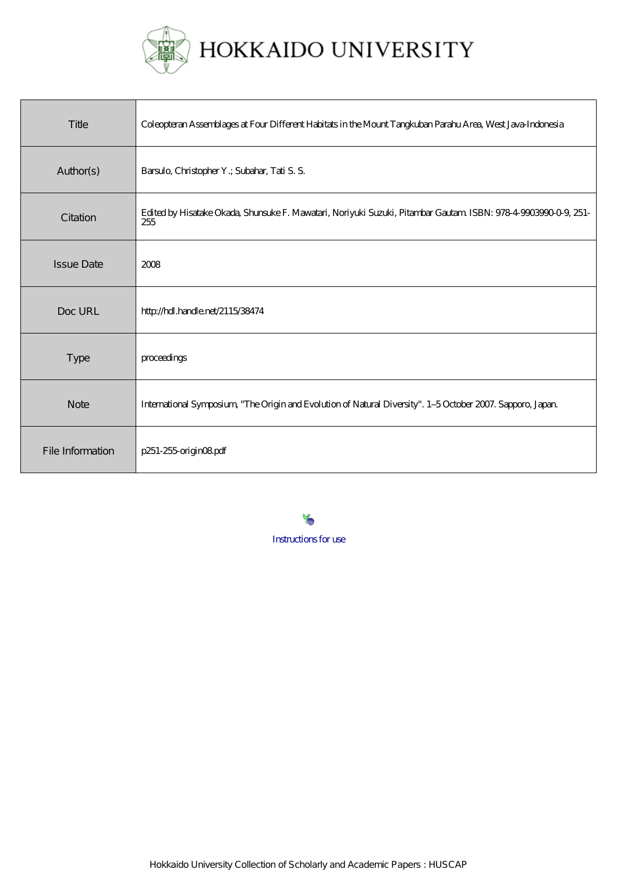

| Title             | Coleopteran Assemblages at Four Different Habitats in the Mount Tangkuban Parahu Area, West Java Indonesia            |
|-------------------|-----------------------------------------------------------------------------------------------------------------------|
| Author(s)         | Barsulo, Christopher Y.; Subahar, Tati S. S.                                                                          |
| Citation          | Edited by Hisatake Okada, Shunsuke F. Mawatari, Noriyuki Suzuki, Pitambar Gautam ISBN: 978-4-9903990-0-9, 251-<br>255 |
| <b>Issue Date</b> | 2008                                                                                                                  |
| Doc URL           | http://hdl.handle.net/2115/38474                                                                                      |
| <b>Type</b>       | proceedings                                                                                                           |
| <b>Note</b>       | International Symposium, "The Origin and Evolution of Natural Diversity". 1-5 October 2007. Sapporo, Japan            |
| File Information  | p251-255 origin08pdf                                                                                                  |

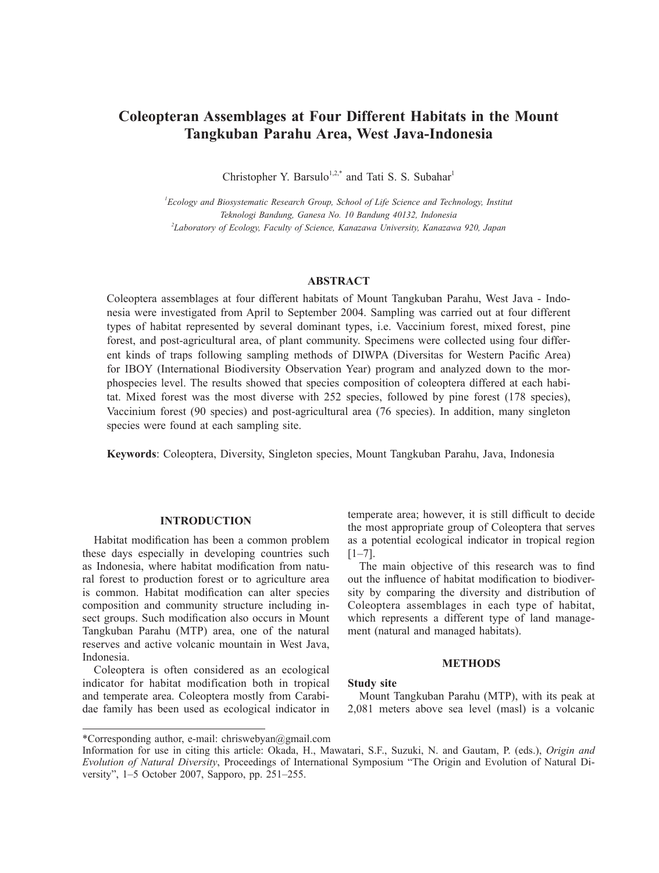# **Coleopteran Assemblages at Four Different Habitats in the Mount Tangkuban Parahu Area, West Java-Indonesia**

Christopher Y. Barsulo<sup>1,2,\*</sup> and Tati S. S. Subahar<sup>1</sup>

*1 Ecology and Biosystematic Research Group, School of Life Science and Technology, Institut Teknologi Bandung, Ganesa No. 10 Bandung 40132, Indonesia 2 Laboratory of Ecology, Faculty of Science, Kanazawa University, Kanazawa 920, Japan*

## **ABSTRACT**

Coleoptera assemblages at four different habitats of Mount Tangkuban Parahu, West Java - Indonesia were investigated from April to September 2004. Sampling was carried out at four different types of habitat represented by several dominant types, i.e. Vaccinium forest, mixed forest, pine forest, and post-agricultural area, of plant community. Specimens were collected using four different kinds of traps following sampling methods of DIWPA (Diversitas for Western Pacific Area) for IBOY (International Biodiversity Observation Year) program and analyzed down to the morphospecies level. The results showed that species composition of coleoptera differed at each habitat. Mixed forest was the most diverse with 252 species, followed by pine forest (178 species), Vaccinium forest (90 species) and post-agricultural area (76 species). In addition, many singleton species were found at each sampling site.

**Keywords**: Coleoptera, Diversity, Singleton species, Mount Tangkuban Parahu, Java, Indonesia

## **INTRODUCTION**

Habitat modification has been a common problem these days especially in developing countries such as Indonesia, where habitat modification from natural forest to production forest or to agriculture area is common. Habitat modification can alter species composition and community structure including insect groups. Such modification also occurs in Mount Tangkuban Parahu (MTP) area, one of the natural reserves and active volcanic mountain in West Java, Indonesia.

Coleoptera is often considered as an ecological indicator for habitat modification both in tropical and temperate area. Coleoptera mostly from Carabidae family has been used as ecological indicator in temperate area; however, it is still difficult to decide the most appropriate group of Coleoptera that serves as a potential ecological indicator in tropical region  $[1-7]$ .

The main objective of this research was to find out the influence of habitat modification to biodiversity by comparing the diversity and distribution of Coleoptera assemblages in each type of habitat, which represents a different type of land management (natural and managed habitats).

#### **METHODS**

### **Study site**

Mount Tangkuban Parahu (MTP), with its peak at 2,081 meters above sea level (masl) is a volcanic

<sup>\*</sup>Corresponding author, e-mail: chriswebyan@gmail.com

Information for use in citing this article: Okada, H., Mawatari, S.F., Suzuki, N. and Gautam, P. (eds.), *Origin and Evolution of Natural Diversity*, Proceedings of International Symposium "The Origin and Evolution of Natural Diversity", 1–5 October 2007, Sapporo, pp. 251–255.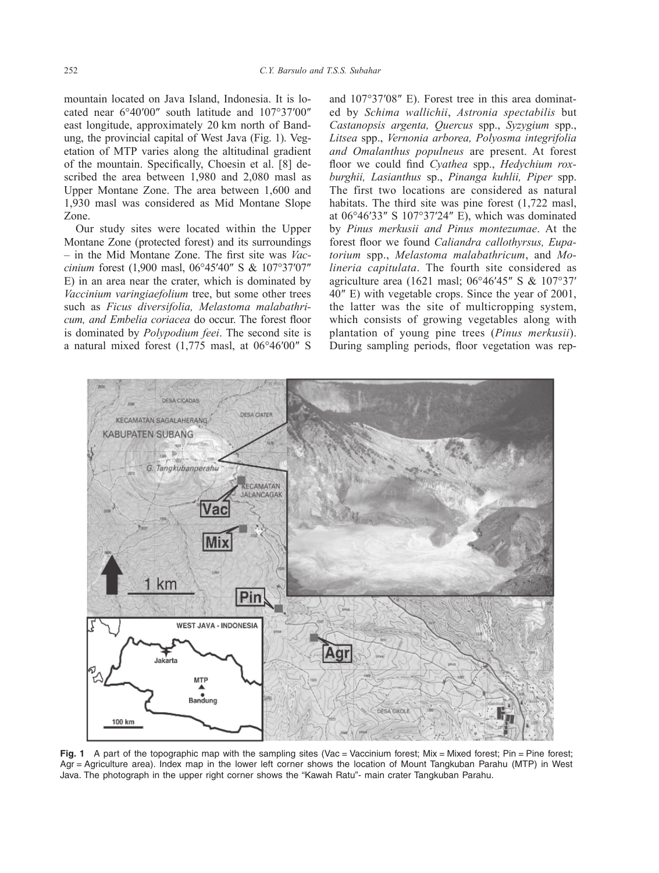mountain located on Java Island, Indonesia. It is located near 6°40′00″ south latitude and 107°37′00″ east longitude, approximately 20 km north of Bandung, the provincial capital of West Java (Fig. 1). Vegetation of MTP varies along the altitudinal gradient of the mountain. Specifically, Choesin et al. [8] described the area between 1,980 and 2,080 masl as Upper Montane Zone. The area between 1,600 and 1,930 masl was considered as Mid Montane Slope Zone.

Our study sites were located within the Upper Montane Zone (protected forest) and its surroundings – in the Mid Montane Zone. The first site was *Vaccinium* forest (1,900 masl, 06°45′40″ S & 107°37′07″ E) in an area near the crater, which is dominated by *Vaccinium varingiaefolium* tree, but some other trees such as *Ficus diversifolia, Melastoma malabathricum, and Embelia coriacea* do occur. The forest floor is dominated by *Polypodium feei*. The second site is a natural mixed forest (1,775 masl, at 06°46′00″ S and 107°37′08″ E). Forest tree in this area dominated by *Schima wallichii*, *Astronia spectabilis* but *Castanopsis argenta, Quercus* spp., *Syzygium* spp., *Litsea* spp., *Vernonia arborea, Polyosma integrifolia and Omalanthus populneus* are present. At forest floor we could find *Cyathea* spp., *Hedychium roxburghii, Lasianthus* sp., *Pinanga kuhlii, Piper* spp. The first two locations are considered as natural habitats. The third site was pine forest  $(1,722 \text{ mas})$ , at 06°46′33″ S 107°37′24″ E), which was dominated by *Pinus merkusii and Pinus montezumae*. At the forest floor we found *Caliandra callothyrsus, Eupatorium* spp., *Melastoma malabathricum*, and *Molineria capitulata*. The fourth site considered as agriculture area (1621 masl; 06°46′45″ S & 107°37′ 40″ E) with vegetable crops. Since the year of 2001, the latter was the site of multicropping system, which consists of growing vegetables along with plantation of young pine trees (*Pinus merkusii*). During sampling periods, floor vegetation was rep-



**Fig. 1** A part of the topographic map with the sampling sites (Vac = Vaccinium forest; Mix = Mixed forest; Pin = Pine forest; Agr = Agriculture area). Index map in the lower left corner shows the location of Mount Tangkuban Parahu (MTP) in West Java. The photograph in the upper right corner shows the "Kawah Ratu"- main crater Tangkuban Parahu.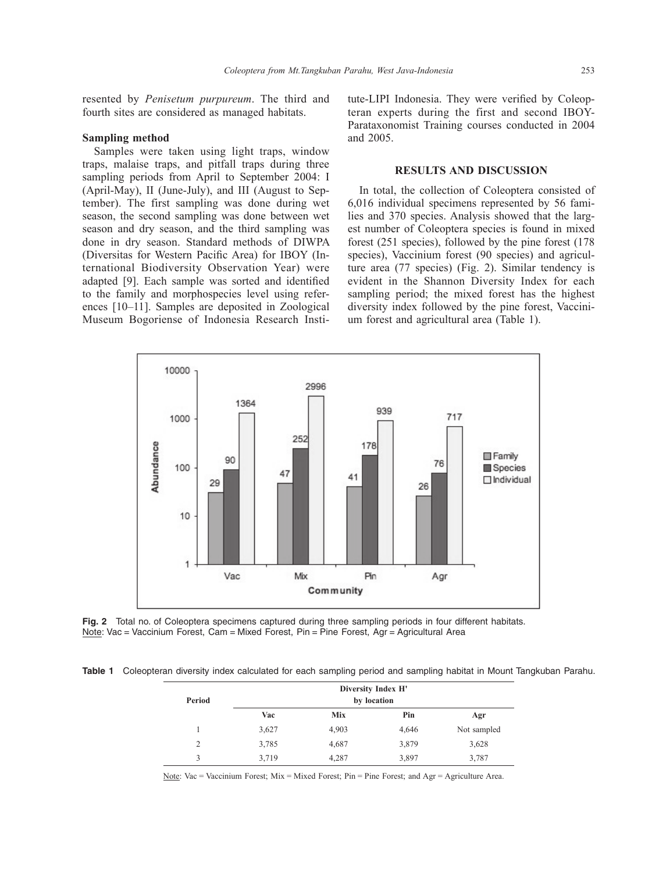resented by *Penisetum purpureum*. The third and fourth sites are considered as managed habitats.

#### **Sampling method**

Samples were taken using light traps, window traps, malaise traps, and pitfall traps during three sampling periods from April to September 2004: I (April-May), II (June-July), and III (August to September). The first sampling was done during wet season, the second sampling was done between wet season and dry season, and the third sampling was done in dry season. Standard methods of DIWPA (Diversitas for Western Pacific Area) for IBOY (International Biodiversity Observation Year) were adapted [9]. Each sample was sorted and identified to the family and morphospecies level using references [10–11]. Samples are deposited in Zoological Museum Bogoriense of Indonesia Research Institute-LIPI Indonesia. They were verified by Coleopteran experts during the first and second IBOY-Parataxonomist Training courses conducted in 2004 and 2005.

## **RESULTS AND DISCUSSION**

In total, the collection of Coleoptera consisted of 6,016 individual specimens represented by 56 families and 370 species. Analysis showed that the largest number of Coleoptera species is found in mixed forest (251 species), followed by the pine forest (178 species), Vaccinium forest (90 species) and agriculture area (77 species) (Fig. 2). Similar tendency is evident in the Shannon Diversity Index for each sampling period; the mixed forest has the highest diversity index followed by the pine forest, Vaccinium forest and agricultural area (Table 1).



**Fig. 2** Total no. of Coleoptera specimens captured during three sampling periods in four different habitats. Note: Vac = Vaccinium Forest, Cam = Mixed Forest, Pin = Pine Forest, Agr = Agricultural Area

**Table 1** Coleopteran diversity index calculated for each sampling period and sampling habitat in Mount Tangkuban Parahu.

| Period | Diversity Index H'<br>by location |       |       |             |
|--------|-----------------------------------|-------|-------|-------------|
|        | Vac                               | Mix   | Pin   | Agr         |
|        | 3,627                             | 4,903 | 4,646 | Not sampled |
| 2      | 3,785                             | 4,687 | 3,879 | 3,628       |
| 3      | 3,719                             | 4,287 | 3,897 | 3,787       |

Note: Vac = Vaccinium Forest; Mix = Mixed Forest; Pin = Pine Forest; and Agr = Agriculture Area.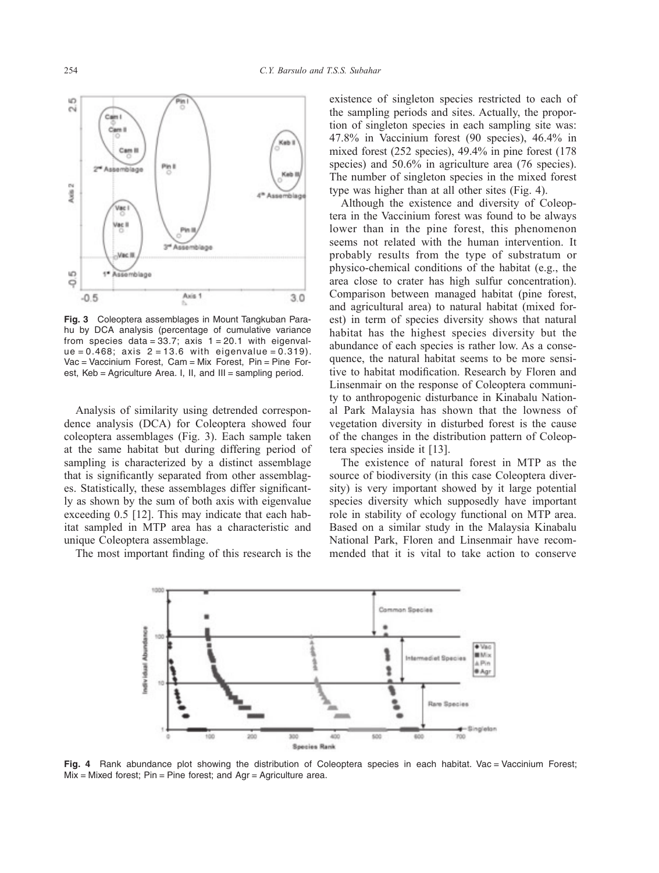

**Fig. 3** Coleoptera assemblages in Mount Tangkuban Parahu by DCA analysis (percentage of cumulative variance from species data =  $33.7$ ; axis  $1 = 20.1$  with eigenval $ue = 0.468$ ; axis  $2 = 13.6$  with eigenvalue = 0.319). Vac = Vaccinium Forest, Cam = Mix Forest, Pin = Pine Forest, Keb = Agriculture Area. I, II, and III = sampling period.

Analysis of similarity using detrended correspondence analysis (DCA) for Coleoptera showed four coleoptera assemblages (Fig. 3). Each sample taken at the same habitat but during differing period of sampling is characterized by a distinct assemblage that is significantly separated from other assemblages. Statistically, these assemblages differ significantly as shown by the sum of both axis with eigenvalue exceeding 0.5 [12]. This may indicate that each habitat sampled in MTP area has a characteristic and unique Coleoptera assemblage.

The most important finding of this research is the

existence of singleton species restricted to each of the sampling periods and sites. Actually, the proportion of singleton species in each sampling site was: 47.8% in Vaccinium forest (90 species), 46.4% in mixed forest (252 species), 49.4% in pine forest (178 species) and 50.6% in agriculture area (76 species). The number of singleton species in the mixed forest type was higher than at all other sites (Fig. 4).

Although the existence and diversity of Coleoptera in the Vaccinium forest was found to be always lower than in the pine forest, this phenomenon seems not related with the human intervention. It probably results from the type of substratum or physico-chemical conditions of the habitat (e.g., the area close to crater has high sulfur concentration). Comparison between managed habitat (pine forest, and agricultural area) to natural habitat (mixed forest) in term of species diversity shows that natural habitat has the highest species diversity but the abundance of each species is rather low. As a consequence, the natural habitat seems to be more sensitive to habitat modification. Research by Floren and Linsenmair on the response of Coleoptera community to anthropogenic disturbance in Kinabalu National Park Malaysia has shown that the lowness of vegetation diversity in disturbed forest is the cause of the changes in the distribution pattern of Coleoptera species inside it [13].

The existence of natural forest in MTP as the source of biodiversity (in this case Coleoptera diversity) is very important showed by it large potential species diversity which supposedly have important role in stability of ecology functional on MTP area. Based on a similar study in the Malaysia Kinabalu National Park, Floren and Linsenmair have recommended that it is vital to take action to conserve



Fig. 4 Rank abundance plot showing the distribution of Coleoptera species in each habitat. Vac = Vaccinium Forest;  $Mix$  = Mixed forest; Pin = Pine forest; and Agr = Agriculture area.